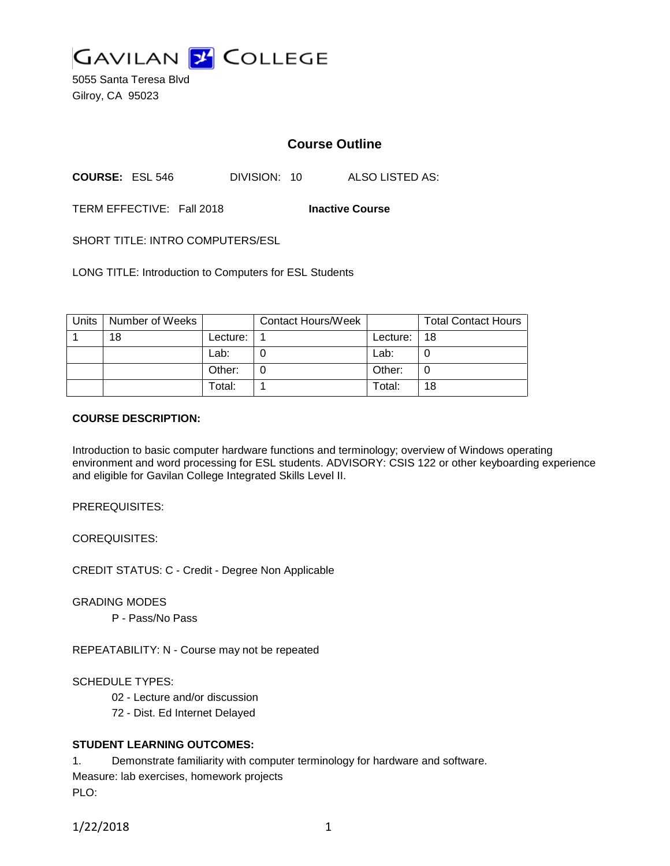

5055 Santa Teresa Blvd Gilroy, CA 95023

# **Course Outline**

**COURSE:** ESL 546 DIVISION: 10 ALSO LISTED AS:

TERM EFFECTIVE: Fall 2018 **Inactive Course**

SHORT TITLE: INTRO COMPUTERS/ESL

LONG TITLE: Introduction to Computers for ESL Students

| Units | Number of Weeks |          | <b>Contact Hours/Week</b> |          | <b>Total Contact Hours</b> |
|-------|-----------------|----------|---------------------------|----------|----------------------------|
|       | 18              | Lecture: |                           | Lecture: | 18                         |
|       |                 | Lab:     |                           | Lab:     | O                          |
|       |                 | Other:   |                           | Other:   | O                          |
|       |                 | Total:   |                           | Total:   | 18                         |

#### **COURSE DESCRIPTION:**

Introduction to basic computer hardware functions and terminology; overview of Windows operating environment and word processing for ESL students. ADVISORY: CSIS 122 or other keyboarding experience and eligible for Gavilan College Integrated Skills Level II.

PREREQUISITES:

COREQUISITES:

CREDIT STATUS: C - Credit - Degree Non Applicable

GRADING MODES

P - Pass/No Pass

REPEATABILITY: N - Course may not be repeated

SCHEDULE TYPES:

02 - Lecture and/or discussion

72 - Dist. Ed Internet Delayed

## **STUDENT LEARNING OUTCOMES:**

1. Demonstrate familiarity with computer terminology for hardware and software.

Measure: lab exercises, homework projects PLO:

1/22/2018 1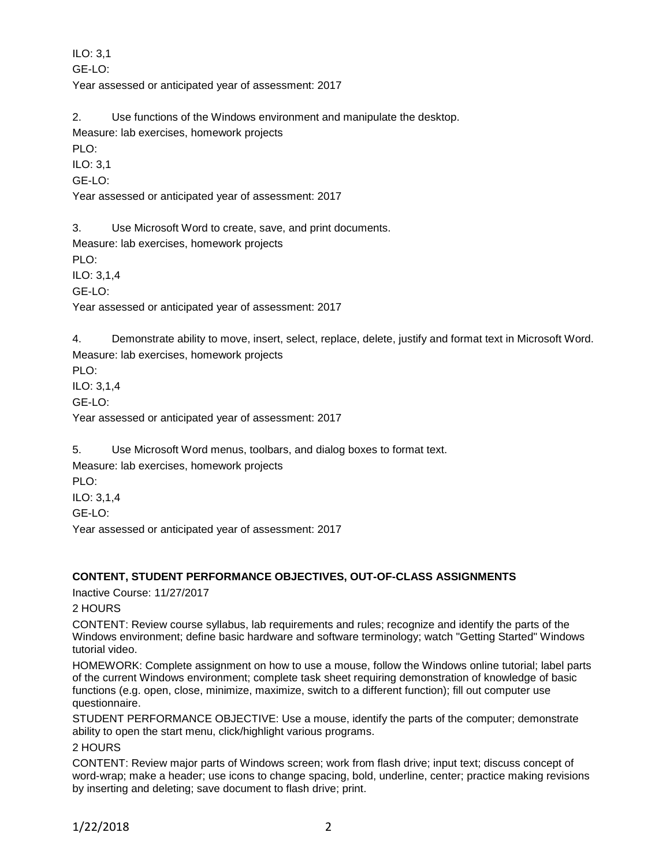ILO: 3,1

GE-LO:

Year assessed or anticipated year of assessment: 2017

2. Use functions of the Windows environment and manipulate the desktop.

Measure: lab exercises, homework projects

PLO:

ILO: 3,1

GE-LO:

Year assessed or anticipated year of assessment: 2017

3. Use Microsoft Word to create, save, and print documents.

Measure: lab exercises, homework projects

PLO:

ILO: 3,1,4

GE-LO:

Year assessed or anticipated year of assessment: 2017

4. Demonstrate ability to move, insert, select, replace, delete, justify and format text in Microsoft Word. Measure: lab exercises, homework projects

PLO:

ILO: 3,1,4

GE-LO:

Year assessed or anticipated year of assessment: 2017

5. Use Microsoft Word menus, toolbars, and dialog boxes to format text.

Measure: lab exercises, homework projects

PLO:

ILO: 3,1,4

GE-LO:

Year assessed or anticipated year of assessment: 2017

## **CONTENT, STUDENT PERFORMANCE OBJECTIVES, OUT-OF-CLASS ASSIGNMENTS**

Inactive Course: 11/27/2017

2 HOURS

CONTENT: Review course syllabus, lab requirements and rules; recognize and identify the parts of the Windows environment; define basic hardware and software terminology; watch "Getting Started" Windows tutorial video.

HOMEWORK: Complete assignment on how to use a mouse, follow the Windows online tutorial; label parts of the current Windows environment; complete task sheet requiring demonstration of knowledge of basic functions (e.g. open, close, minimize, maximize, switch to a different function); fill out computer use questionnaire.

STUDENT PERFORMANCE OBJECTIVE: Use a mouse, identify the parts of the computer; demonstrate ability to open the start menu, click/highlight various programs.

2 HOURS

CONTENT: Review major parts of Windows screen; work from flash drive; input text; discuss concept of word-wrap; make a header; use icons to change spacing, bold, underline, center; practice making revisions by inserting and deleting; save document to flash drive; print.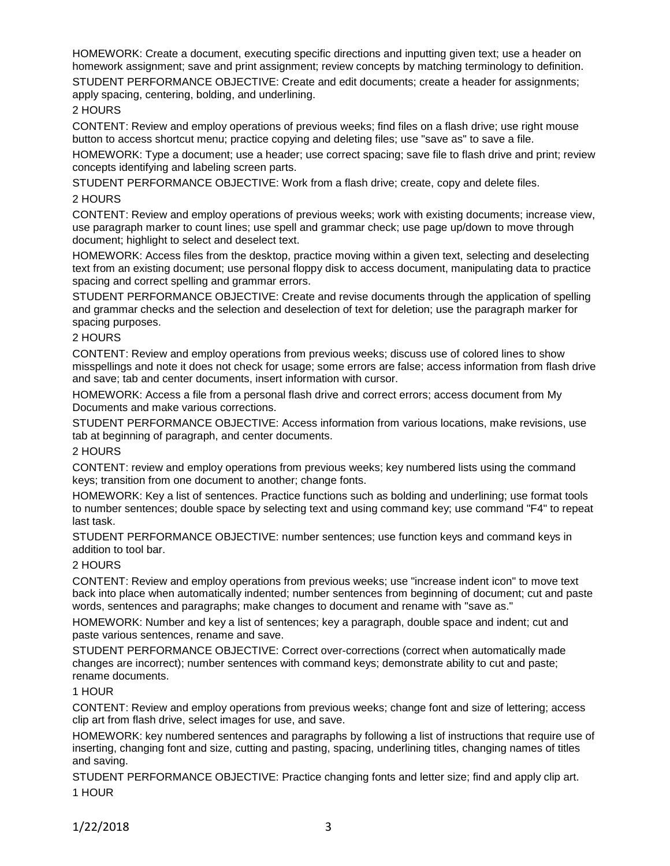HOMEWORK: Create a document, executing specific directions and inputting given text; use a header on homework assignment; save and print assignment; review concepts by matching terminology to definition.

STUDENT PERFORMANCE OBJECTIVE: Create and edit documents; create a header for assignments; apply spacing, centering, bolding, and underlining.

### 2 HOURS

CONTENT: Review and employ operations of previous weeks; find files on a flash drive; use right mouse button to access shortcut menu; practice copying and deleting files; use "save as" to save a file.

HOMEWORK: Type a document; use a header; use correct spacing; save file to flash drive and print; review concepts identifying and labeling screen parts.

STUDENT PERFORMANCE OBJECTIVE: Work from a flash drive; create, copy and delete files.

## 2 HOURS

CONTENT: Review and employ operations of previous weeks; work with existing documents; increase view, use paragraph marker to count lines; use spell and grammar check; use page up/down to move through document; highlight to select and deselect text.

HOMEWORK: Access files from the desktop, practice moving within a given text, selecting and deselecting text from an existing document; use personal floppy disk to access document, manipulating data to practice spacing and correct spelling and grammar errors.

STUDENT PERFORMANCE OBJECTIVE: Create and revise documents through the application of spelling and grammar checks and the selection and deselection of text for deletion; use the paragraph marker for spacing purposes.

#### 2 HOURS

CONTENT: Review and employ operations from previous weeks; discuss use of colored lines to show misspellings and note it does not check for usage; some errors are false; access information from flash drive and save; tab and center documents, insert information with cursor.

HOMEWORK: Access a file from a personal flash drive and correct errors; access document from My Documents and make various corrections.

STUDENT PERFORMANCE OBJECTIVE: Access information from various locations, make revisions, use tab at beginning of paragraph, and center documents.

#### 2 HOURS

CONTENT: review and employ operations from previous weeks; key numbered lists using the command keys; transition from one document to another; change fonts.

HOMEWORK: Key a list of sentences. Practice functions such as bolding and underlining; use format tools to number sentences; double space by selecting text and using command key; use command "F4" to repeat last task.

STUDENT PERFORMANCE OBJECTIVE: number sentences; use function keys and command keys in addition to tool bar.

## 2 HOURS

CONTENT: Review and employ operations from previous weeks; use "increase indent icon" to move text back into place when automatically indented; number sentences from beginning of document; cut and paste words, sentences and paragraphs; make changes to document and rename with "save as."

HOMEWORK: Number and key a list of sentences; key a paragraph, double space and indent; cut and paste various sentences, rename and save.

STUDENT PERFORMANCE OBJECTIVE: Correct over-corrections (correct when automatically made changes are incorrect); number sentences with command keys; demonstrate ability to cut and paste; rename documents.

## 1 HOUR

CONTENT: Review and employ operations from previous weeks; change font and size of lettering; access clip art from flash drive, select images for use, and save.

HOMEWORK: key numbered sentences and paragraphs by following a list of instructions that require use of inserting, changing font and size, cutting and pasting, spacing, underlining titles, changing names of titles and saving.

STUDENT PERFORMANCE OBJECTIVE: Practice changing fonts and letter size; find and apply clip art. 1 HOUR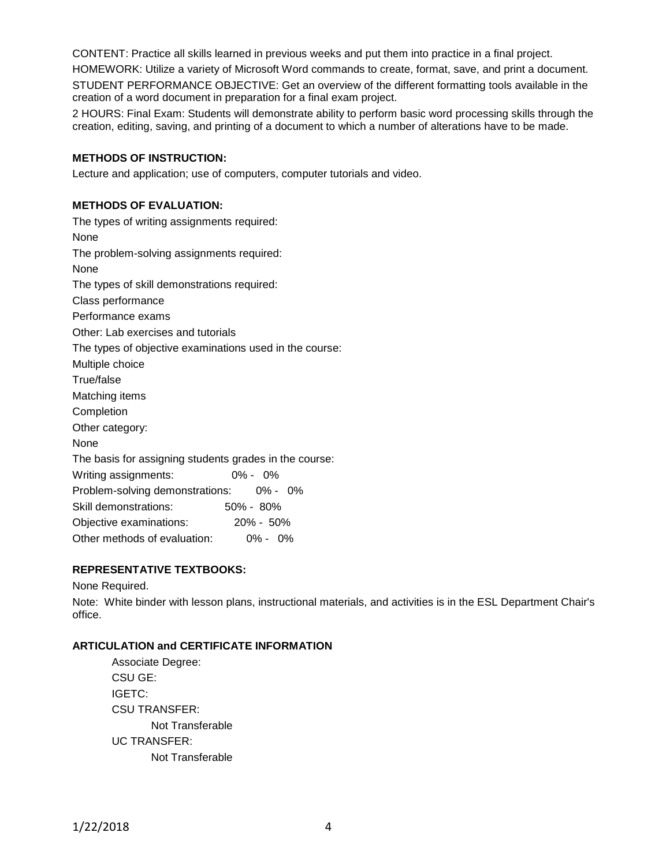CONTENT: Practice all skills learned in previous weeks and put them into practice in a final project.

HOMEWORK: Utilize a variety of Microsoft Word commands to create, format, save, and print a document.

STUDENT PERFORMANCE OBJECTIVE: Get an overview of the different formatting tools available in the creation of a word document in preparation for a final exam project.

2 HOURS: Final Exam: Students will demonstrate ability to perform basic word processing skills through the creation, editing, saving, and printing of a document to which a number of alterations have to be made.

## **METHODS OF INSTRUCTION:**

Lecture and application; use of computers, computer tutorials and video.

## **METHODS OF EVALUATION:**

The types of writing assignments required: None The problem-solving assignments required: None The types of skill demonstrations required: Class performance Performance exams Other: Lab exercises and tutorials The types of objective examinations used in the course: Multiple choice True/false Matching items **Completion** Other category: None The basis for assigning students grades in the course: Writing assignments: 0% - 0% Problem-solving demonstrations: 0% - 0% Skill demonstrations: 50% - 80% Objective examinations: 20% - 50% Other methods of evaluation: 0% - 0%

## **REPRESENTATIVE TEXTBOOKS:**

None Required.

Note: White binder with lesson plans, instructional materials, and activities is in the ESL Department Chair's office.

## **ARTICULATION and CERTIFICATE INFORMATION**

Associate Degree: CSU GE: IGETC: CSU TRANSFER: Not Transferable UC TRANSFER: Not Transferable